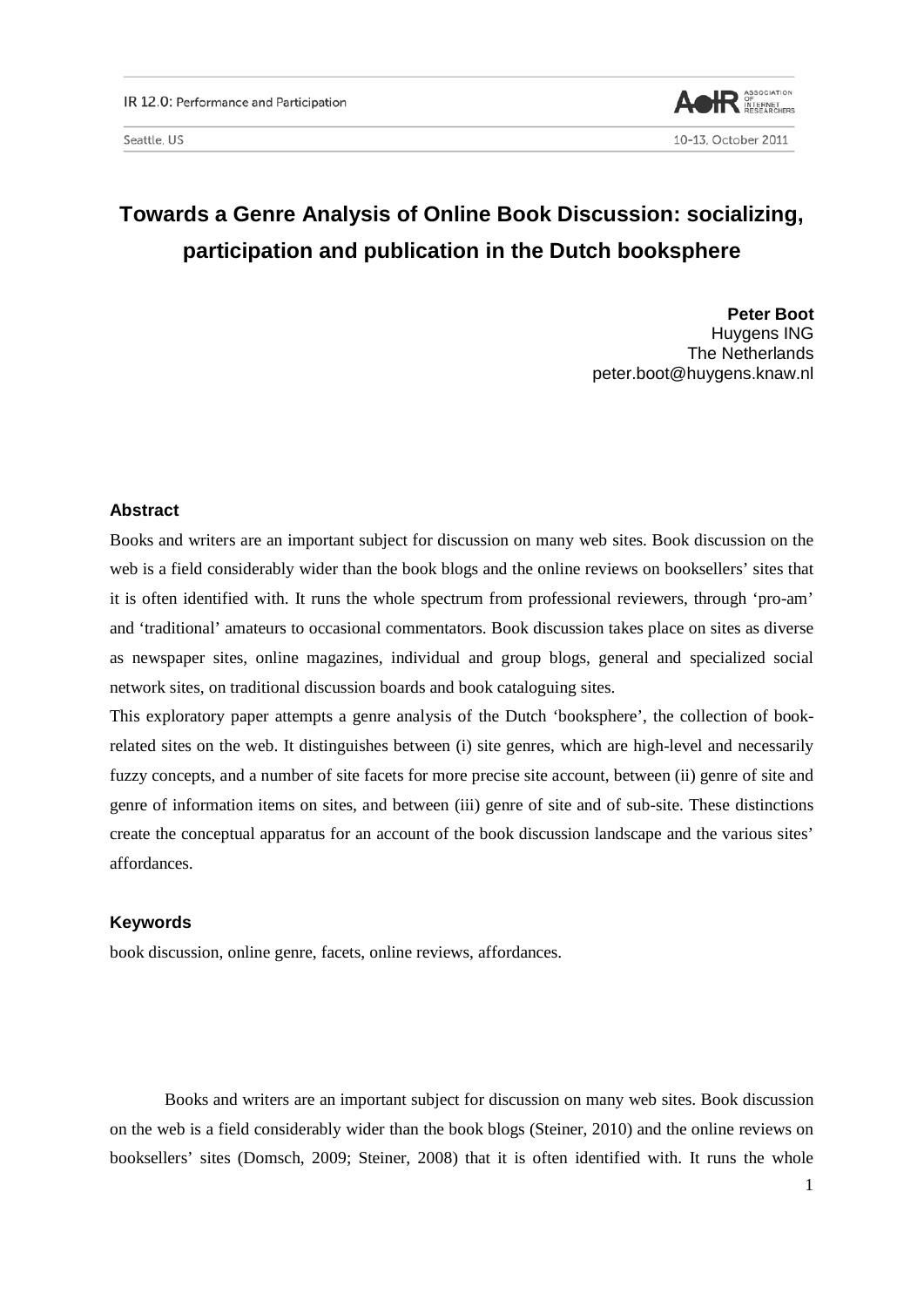

# **Towards a Genre Analysis of Online Book Discussion: socializing, participation and publication in the Dutch booksphere**

**Peter Boot** Huygens ING The Netherlands peter.boot@huygens.knaw.nl

# **Abstract**

Books and writers are an important subject for discussion on many web sites. Book discussion on the web is a field considerably wider than the book blogs and the online reviews on booksellers' sites that it is often identified with. It runs the whole spectrum from professional reviewers, through 'pro-am' and 'traditional' amateurs to occasional commentators. Book discussion takes place on sites as diverse as newspaper sites, online magazines, individual and group blogs, general and specialized social network sites, on traditional discussion boards and book cataloguing sites.

This exploratory paper attempts a genre analysis of the Dutch 'booksphere', the collection of bookrelated sites on the web. It distinguishes between (i) site genres, which are high-level and necessarily fuzzy concepts, and a number of site facets for more precise site account, between (ii) genre of site and genre of information items on sites, and between (iii) genre of site and of sub-site. These distinctions create the conceptual apparatus for an account of the book discussion landscape and the various sites' affordances.

## **Keywords**

book discussion, online genre, facets, online reviews, affordances.

Books and writers are an important subject for discussion on many web sites. Book discussion on the web is a field considerably wider than the book blogs (Steiner, 2010) and the online reviews on booksellers' sites (Domsch, 2009; Steiner, 2008) that it is often identified with. It runs the whole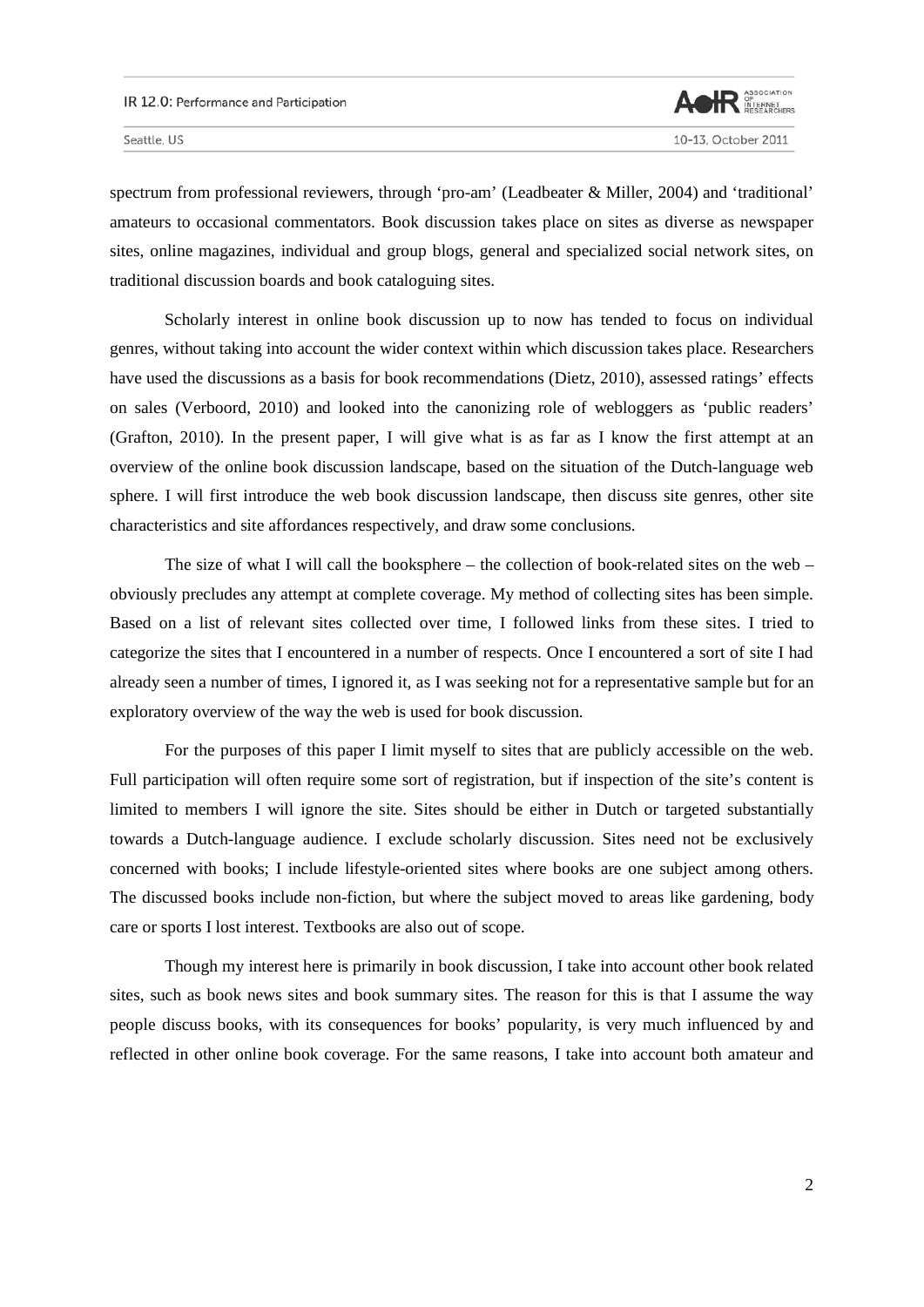

spectrum from professional reviewers, through 'pro-am' (Leadbeater & Miller, 2004) and 'traditional' amateurs to occasional commentators. Book discussion takes place on sites as diverse as newspaper sites, online magazines, individual and group blogs, general and specialized social network sites, on traditional discussion boards and book cataloguing sites.

Scholarly interest in online book discussion up to now has tended to focus on individual genres, without taking into account the wider context within which discussion takes place. Researchers have used the discussions as a basis for book recommendations (Dietz, 2010), assessed ratings' effects on sales (Verboord, 2010) and looked into the canonizing role of webloggers as 'public readers' (Grafton, 2010). In the present paper, I will give what is as far as I know the first attempt at an overview of the online book discussion landscape, based on the situation of the Dutch-language web sphere. I will first introduce the web book discussion landscape, then discuss site genres, other site characteristics and site affordances respectively, and draw some conclusions.

The size of what I will call the booksphere – the collection of book-related sites on the web – obviously precludes any attempt at complete coverage. My method of collecting sites has been simple. Based on a list of relevant sites collected over time, I followed links from these sites. I tried to categorize the sites that I encountered in a number of respects. Once I encountered a sort of site I had already seen a number of times, I ignored it, as I was seeking not for a representative sample but for an exploratory overview of the way the web is used for book discussion.

For the purposes of this paper I limit myself to sites that are publicly accessible on the web. Full participation will often require some sort of registration, but if inspection of the site's content is limited to members I will ignore the site. Sites should be either in Dutch or targeted substantially towards a Dutch-language audience. I exclude scholarly discussion. Sites need not be exclusively concerned with books; I include lifestyle-oriented sites where books are one subject among others. The discussed books include non-fiction, but where the subject moved to areas like gardening, body care or sports I lost interest. Textbooks are also out of scope.

Though my interest here is primarily in book discussion, I take into account other book related sites, such as book news sites and book summary sites. The reason for this is that I assume the way people discuss books, with its consequences for books' popularity, is very much influenced by and reflected in other online book coverage. For the same reasons, I take into account both amateur and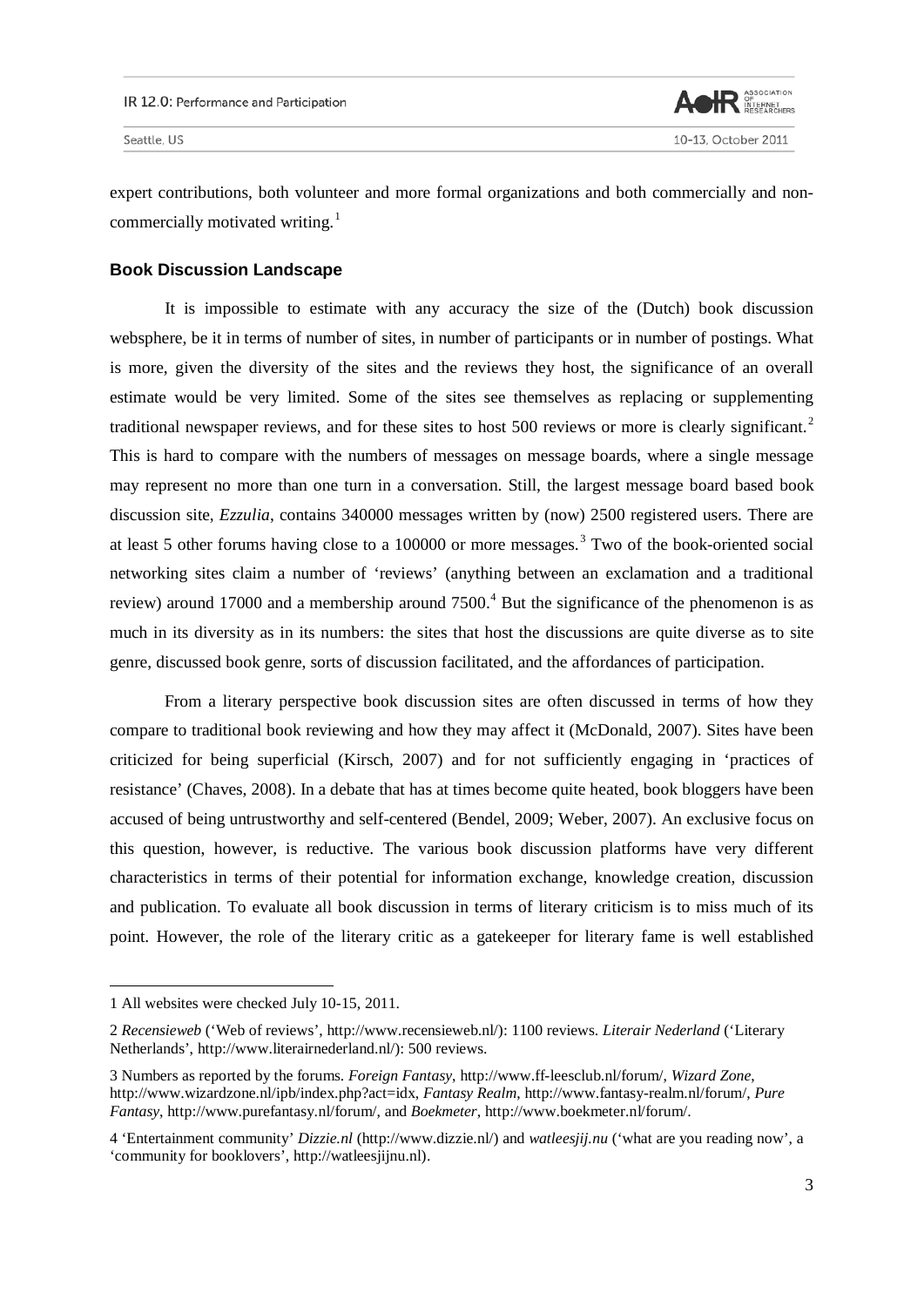

expert contributions, both volunteer and more formal organizations and both commercially and non-commercially motivated writing.<sup>[1](#page-2-0)</sup>

## **Book Discussion Landscape**

It is impossible to estimate with any accuracy the size of the (Dutch) book discussion websphere, be it in terms of number of sites, in number of participants or in number of postings. What is more, given the diversity of the sites and the reviews they host, the significance of an overall estimate would be very limited. Some of the sites see themselves as replacing or supplementing traditional newspaper reviews, and for these sites to host 500 reviews or more is clearly significant.<sup>[2](#page-2-1)</sup> This is hard to compare with the numbers of messages on message boards, where a single message may represent no more than one turn in a conversation. Still, the largest message board based book discussion site, *Ezzulia*, contains 340000 messages written by (now) 2500 registered users. There are at least 5 other forums having close to a 100000 or more messages.<sup>[3](#page-2-2)</sup> Two of the book-oriented social networking sites claim a number of 'reviews' (anything between an exclamation and a traditional review) around 17000 and a membership around 7500.<sup>[4](#page-2-3)</sup> But the significance of the phenomenon is as much in its diversity as in its numbers: the sites that host the discussions are quite diverse as to site genre, discussed book genre, sorts of discussion facilitated, and the affordances of participation.

From a literary perspective book discussion sites are often discussed in terms of how they compare to traditional book reviewing and how they may affect it (McDonald, 2007). Sites have been criticized for being superficial (Kirsch, 2007) and for not sufficiently engaging in 'practices of resistance' (Chaves, 2008). In a debate that has at times become quite heated, book bloggers have been accused of being untrustworthy and self-centered (Bendel, 2009; Weber, 2007). An exclusive focus on this question, however, is reductive. The various book discussion platforms have very different characteristics in terms of their potential for information exchange, knowledge creation, discussion and publication. To evaluate all book discussion in terms of literary criticism is to miss much of its point. However, the role of the literary critic as a gatekeeper for literary fame is well established

<span id="page-2-0"></span><sup>1</sup> All websites were checked July 10-15, 2011.

<span id="page-2-1"></span><sup>2</sup> *Recensieweb* ('Web of reviews', [http://www.recensieweb.nl/\)](http://www.recensieweb.nl/): 1100 reviews. *Literair Nederland* ('Literary Netherlands', [http://www.literairnederland.nl/\)](http://www.literairnederland.nl/): 500 reviews.

<span id="page-2-2"></span><sup>3</sup> Numbers as reported by the forums. *Foreign Fantasy*, [http://www.ff-leesclub.nl/forum/,](http://www.ff-leesclub.nl/forum/) *Wizard Zone*, [http://www.wizardzone.nl/ipb/index.php?act=idx,](http://www.wizardzone.nl/ipb/index.php?act=idx) *Fantasy Realm*, [http://www.fantasy-realm.nl/forum/,](http://www.fantasy-realm.nl/forum/) *Pure Fantasy*, [http://www.purefantasy.nl/forum/,](http://www.purefantasy.nl/forum/) and *Boekmeter*, [http://www.boekmeter.nl/forum/.](http://www.boekmeter.nl/forum/) 

<span id="page-2-3"></span><sup>4</sup> 'Entertainment community' *Dizzie.nl* [\(http://www.dizzie.nl/\)](http://www.dizzie.nl/) and *watleesjij.nu* ('what are you reading now', a 'community for booklovers', [http://watleesjijnu.nl\)](http://watleesjijnu.nl/).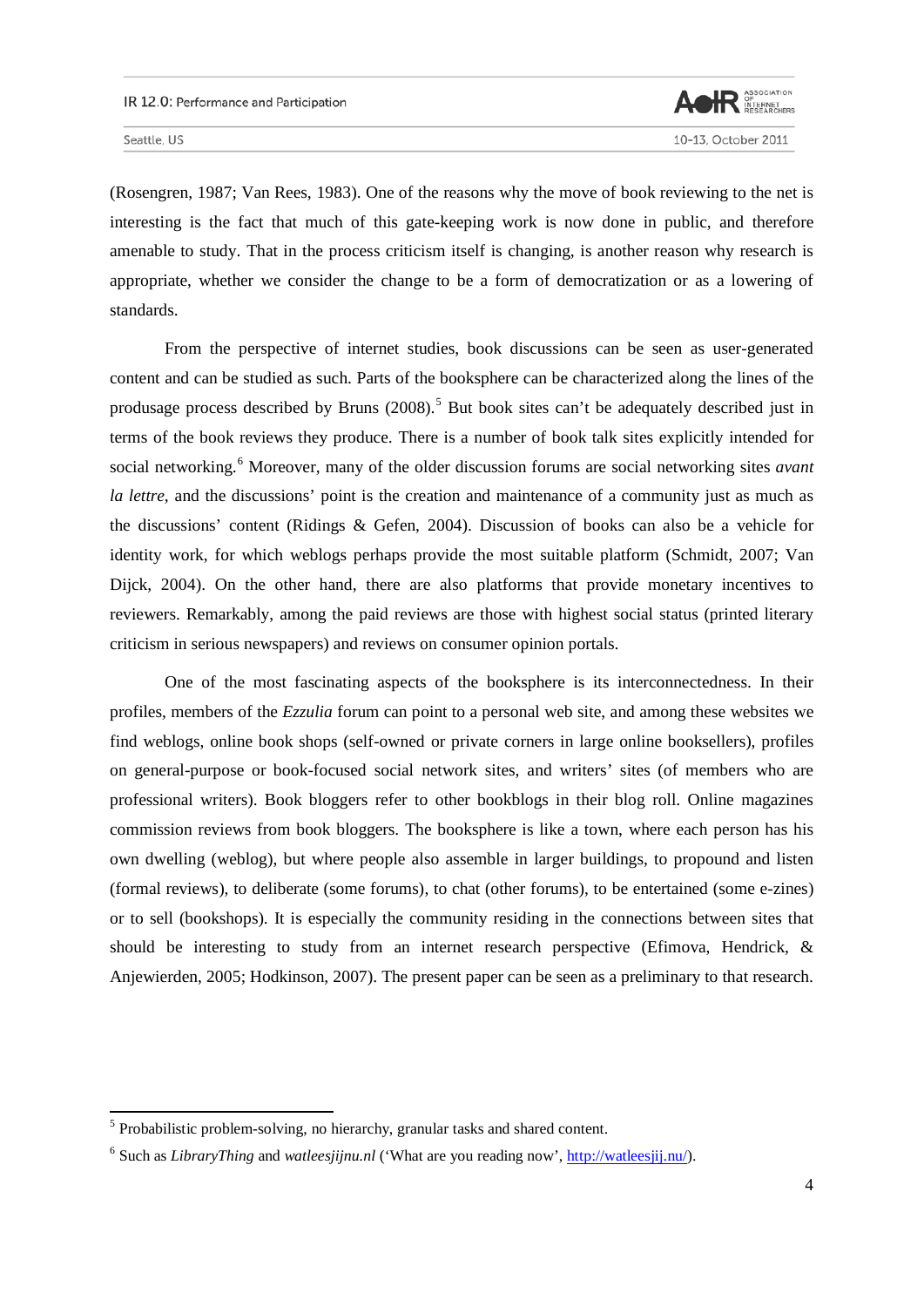

l

(Rosengren, 1987; Van Rees, 1983). One of the reasons why the move of book reviewing to the net is interesting is the fact that much of this gate-keeping work is now done in public, and therefore amenable to study. That in the process criticism itself is changing, is another reason why research is appropriate, whether we consider the change to be a form of democratization or as a lowering of standards.

From the perspective of internet studies, book discussions can be seen as user-generated content and can be studied as such. Parts of the booksphere can be characterized along the lines of the produsage process described by Bruns (2008).<sup>[5](#page-3-0)</sup> But book sites can't be adequately described just in terms of the book reviews they produce. There is a number of book talk sites explicitly intended for social networking.<sup>[6](#page-3-1)</sup> Moreover, many of the older discussion forums are social networking sites *avant la lettre*, and the discussions' point is the creation and maintenance of a community just as much as the discussions' content (Ridings & Gefen, 2004). Discussion of books can also be a vehicle for identity work, for which weblogs perhaps provide the most suitable platform (Schmidt, 2007; Van Dijck, 2004). On the other hand, there are also platforms that provide monetary incentives to reviewers. Remarkably, among the paid reviews are those with highest social status (printed literary criticism in serious newspapers) and reviews on consumer opinion portals.

One of the most fascinating aspects of the booksphere is its interconnectedness. In their profiles, members of the *Ezzulia* forum can point to a personal web site, and among these websites we find weblogs, online book shops (self-owned or private corners in large online booksellers), profiles on general-purpose or book-focused social network sites, and writers' sites (of members who are professional writers). Book bloggers refer to other bookblogs in their blog roll. Online magazines commission reviews from book bloggers. The booksphere is like a town, where each person has his own dwelling (weblog), but where people also assemble in larger buildings, to propound and listen (formal reviews), to deliberate (some forums), to chat (other forums), to be entertained (some e-zines) or to sell (bookshops). It is especially the community residing in the connections between sites that should be interesting to study from an internet research perspective (Efimova, Hendrick, & Anjewierden, 2005; Hodkinson, 2007). The present paper can be seen as a preliminary to that research.

<span id="page-3-0"></span><sup>&</sup>lt;sup>5</sup> Probabilistic problem-solving, no hierarchy, granular tasks and shared content.

<span id="page-3-1"></span><sup>&</sup>lt;sup>6</sup> Such as *LibraryThing* and *watleesjijnu.nl* ('What are you reading now', [http://watleesjij.nu/\)](http://watleesjij.nu/).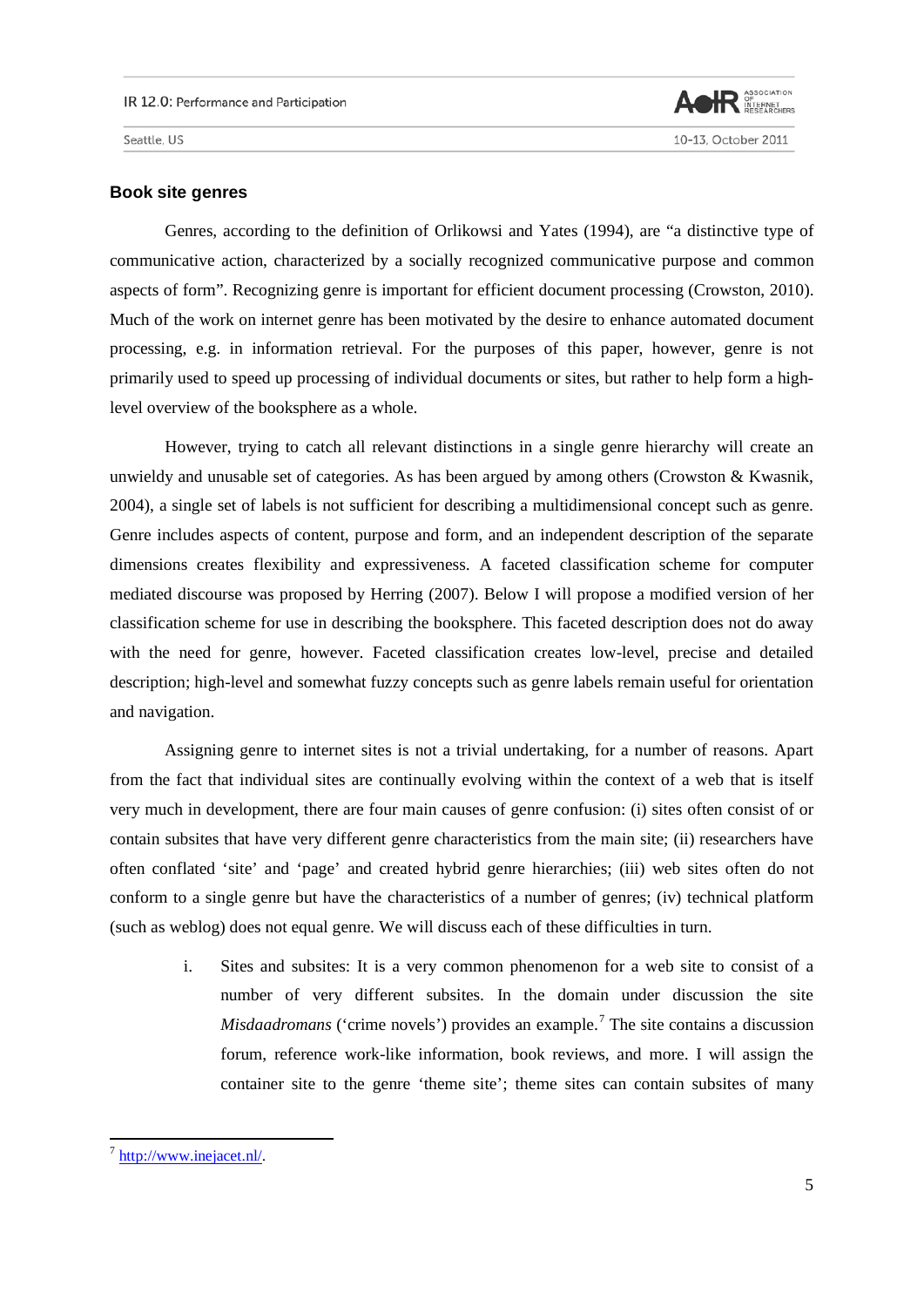

#### **Book site genres**

Genres, according to the definition of Orlikowsi and Yates (1994), are "a distinctive type of communicative action, characterized by a socially recognized communicative purpose and common aspects of form". Recognizing genre is important for efficient document processing (Crowston, 2010). Much of the work on internet genre has been motivated by the desire to enhance automated document processing, e.g. in information retrieval. For the purposes of this paper, however, genre is not primarily used to speed up processing of individual documents or sites, but rather to help form a highlevel overview of the booksphere as a whole.

However, trying to catch all relevant distinctions in a single genre hierarchy will create an unwieldy and unusable set of categories. As has been argued by among others (Crowston & Kwasnik, 2004), a single set of labels is not sufficient for describing a multidimensional concept such as genre. Genre includes aspects of content, purpose and form, and an independent description of the separate dimensions creates flexibility and expressiveness. A faceted classification scheme for computer mediated discourse was proposed by Herring (2007). Below I will propose a modified version of her classification scheme for use in describing the booksphere. This faceted description does not do away with the need for genre, however. Faceted classification creates low-level, precise and detailed description; high-level and somewhat fuzzy concepts such as genre labels remain useful for orientation and navigation.

Assigning genre to internet sites is not a trivial undertaking, for a number of reasons. Apart from the fact that individual sites are continually evolving within the context of a web that is itself very much in development, there are four main causes of genre confusion: (i) sites often consist of or contain subsites that have very different genre characteristics from the main site; (ii) researchers have often conflated 'site' and 'page' and created hybrid genre hierarchies; (iii) web sites often do not conform to a single genre but have the characteristics of a number of genres; (iv) technical platform (such as weblog) does not equal genre. We will discuss each of these difficulties in turn.

i. Sites and subsites: It is a very common phenomenon for a web site to consist of a number of very different subsites. In the domain under discussion the site *Misdaadromans* ('crime novels') provides an example.<sup>[7](#page-4-0)</sup> The site contains a discussion forum, reference work-like information, book reviews, and more. I will assign the container site to the genre 'theme site'; theme sites can contain subsites of many

<span id="page-4-0"></span><sup>&</sup>lt;sup>7</sup> [http://www.inejacet.nl/.](http://www.inejacet.nl/)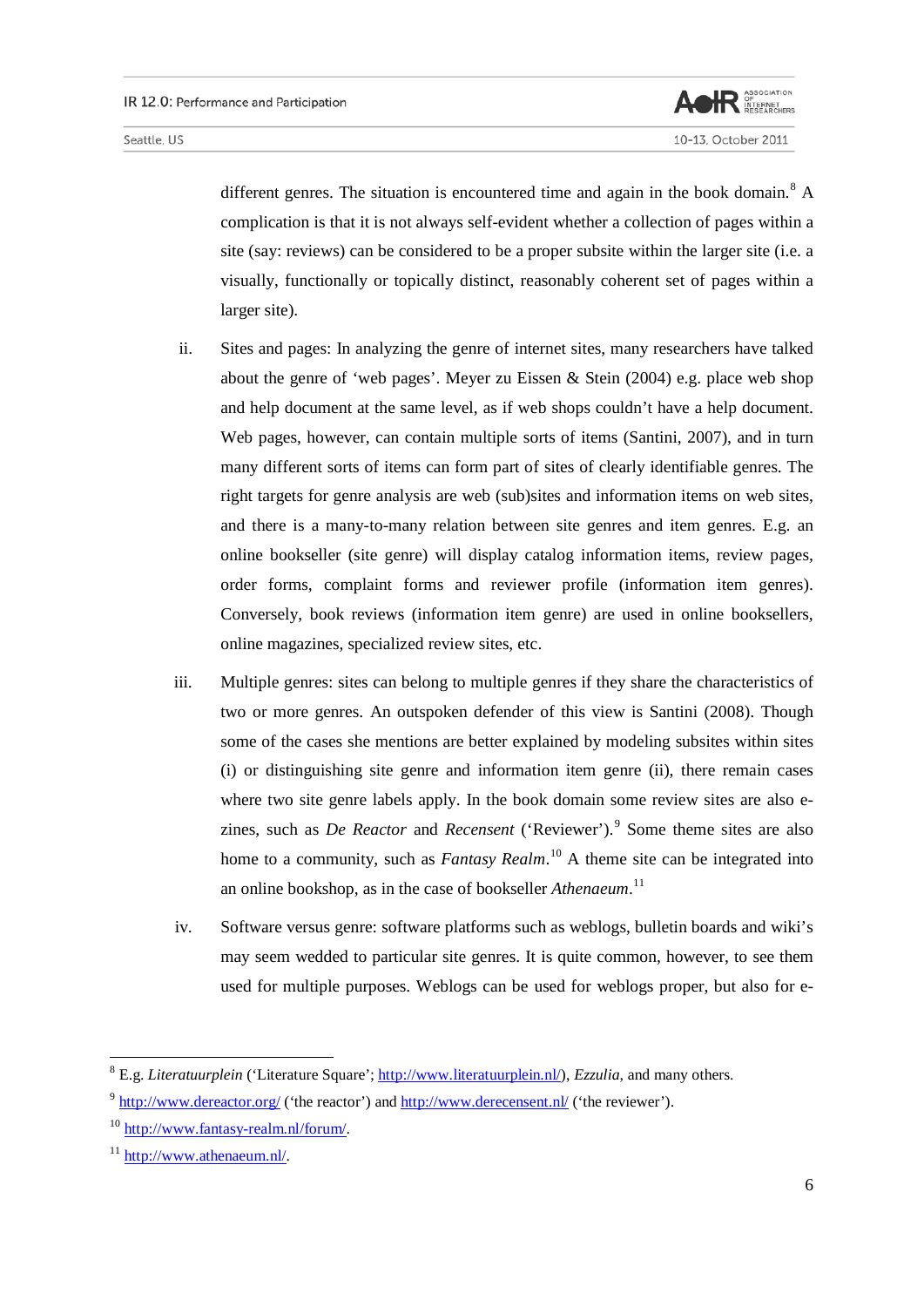

10-13, October 2011

different genres. The situation is encountered time and again in the book domain.<sup>[8](#page-5-0)</sup> A complication is that it is not always self-evident whether a collection of pages within a site (say: reviews) can be considered to be a proper subsite within the larger site (i.e. a visually, functionally or topically distinct, reasonably coherent set of pages within a larger site).

- ii. Sites and pages: In analyzing the genre of internet sites, many researchers have talked about the genre of 'web pages'. Meyer zu Eissen & Stein (2004) e.g. place web shop and help document at the same level, as if web shops couldn't have a help document. Web pages, however, can contain multiple sorts of items (Santini, 2007), and in turn many different sorts of items can form part of sites of clearly identifiable genres. The right targets for genre analysis are web (sub)sites and information items on web sites, and there is a many-to-many relation between site genres and item genres. E.g. an online bookseller (site genre) will display catalog information items, review pages, order forms, complaint forms and reviewer profile (information item genres). Conversely, book reviews (information item genre) are used in online booksellers, online magazines, specialized review sites, etc.
- iii. Multiple genres: sites can belong to multiple genres if they share the characteristics of two or more genres. An outspoken defender of this view is Santini (2008). Though some of the cases she mentions are better explained by modeling subsites within sites (i) or distinguishing site genre and information item genre (ii), there remain cases where two site genre labels apply. In the book domain some review sites are also ezines, such as *De Reactor* and *Recensent* ('Reviewer').<sup>[9](#page-5-1)</sup> Some theme sites are also home to a community, such as *Fantasy Realm*. [10](#page-5-2) A theme site can be integrated into an online bookshop, as in the case of bookseller *Athenaeum*. [11](#page-5-3)
- iv. Software versus genre: software platforms such as weblogs, bulletin boards and wiki's may seem wedded to particular site genres. It is quite common, however, to see them used for multiple purposes. Weblogs can be used for weblogs proper, but also for e-

<span id="page-5-0"></span><sup>&</sup>lt;sup>8</sup> E.g. *Literatuurplein* ('Literature Square'; [http://www.literatuurplein.nl/\)](http://www.literatuurplein.nl/), *Ezzulia*, and many others.

<span id="page-5-1"></span> $9 \text{ http://www.dereactor.org/}$  $9 \text{ http://www.dereactor.org/}$  $9 \text{ http://www.dereactor.org/}$  ('the reactor') and  $\frac{\text{http://www.derecensent.nl/}}{\text{http://www.derecensent.nl/}}$  ('the reviewer').

<span id="page-5-2"></span><sup>&</sup>lt;sup>10</sup> [http://www.fantasy-realm.nl/forum/.](http://www.fantasy-realm.nl/forum/)

<span id="page-5-3"></span><sup>11</sup> [http://www.athenaeum.nl/.](http://www.athenaeum.nl/)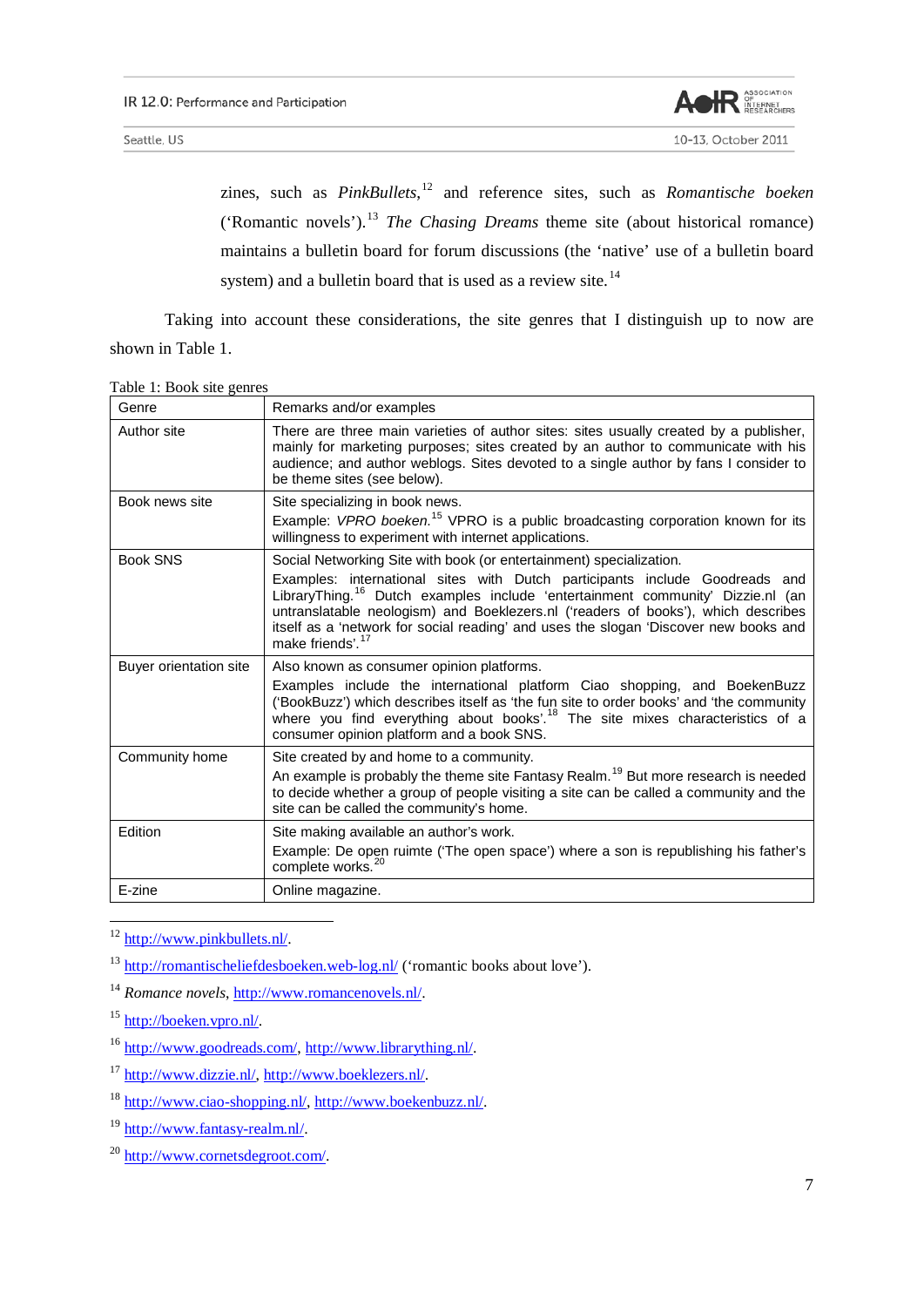

zines, such as *PinkBullets*, [12](#page-6-0) and reference sites, such as *Romantische boeken* ('Romantic novels').[13](#page-6-1) *The Chasing Dreams* theme site (about historical romance) maintains a bulletin board for forum discussions (the 'native' use of a bulletin board system) and a bulletin board that is used as a review site.<sup>[14](#page-6-2)</sup>

Taking into account these considerations, the site genres that I distinguish up to now are shown in Table 1.

|  |  |  |  | Table 1: Book site genres |
|--|--|--|--|---------------------------|
|--|--|--|--|---------------------------|

| Genre                  | Remarks and/or examples                                                                                                                                                                                                                                                                                                                                                                                                                                       |
|------------------------|---------------------------------------------------------------------------------------------------------------------------------------------------------------------------------------------------------------------------------------------------------------------------------------------------------------------------------------------------------------------------------------------------------------------------------------------------------------|
| Author site            | There are three main varieties of author sites: sites usually created by a publisher,<br>mainly for marketing purposes; sites created by an author to communicate with his<br>audience; and author weblogs. Sites devoted to a single author by fans I consider to<br>be theme sites (see below).                                                                                                                                                             |
| Book news site         | Site specializing in book news.<br>Example: VPRO boeken. <sup>15</sup> VPRO is a public broadcasting corporation known for its<br>willingness to experiment with internet applications.                                                                                                                                                                                                                                                                       |
| <b>Book SNS</b>        | Social Networking Site with book (or entertainment) specialization.<br>Examples: international sites with Dutch participants include Goodreads and<br>LibraryThing. <sup>16</sup> Dutch examples include 'entertainment community' Dizzie.nl (an<br>untranslatable neologism) and Boeklezers.nl ('readers of books'), which describes<br>itself as a 'network for social reading' and uses the slogan 'Discover new books and<br>make friends'. <sup>17</sup> |
| Buyer orientation site | Also known as consumer opinion platforms.<br>Examples include the international platform Ciao shopping, and BoekenBuzz<br>('BookBuzz') which describes itself as 'the fun site to order books' and 'the community<br>where you find everything about books'. <sup>18</sup> The site mixes characteristics of a<br>consumer opinion platform and a book SNS.                                                                                                   |
| Community home         | Site created by and home to a community.<br>An example is probably the theme site Fantasy Realm. <sup>19</sup> But more research is needed<br>to decide whether a group of people visiting a site can be called a community and the<br>site can be called the community's home.                                                                                                                                                                               |
| Edition                | Site making available an author's work.<br>Example: De open ruimte ('The open space') where a son is republishing his father's<br>complete works. <sup>20</sup>                                                                                                                                                                                                                                                                                               |
| E-zine                 | Online magazine.                                                                                                                                                                                                                                                                                                                                                                                                                                              |

<span id="page-6-0"></span><sup>12</sup> [http://www.pinkbullets.nl/.](http://www.pinkbullets.nl/)

<span id="page-6-1"></span><sup>13</sup> <http://romantischeliefdesboeken.web-log.nl/> ('romantic books about love').

<span id="page-6-2"></span><sup>14</sup> *Romance novels*, [http://www.romancenovels.nl/.](http://www.romancenovels.nl/)

<span id="page-6-3"></span><sup>15</sup> [http://boeken.vpro.nl/.](http://boeken.vpro.nl/)

<span id="page-6-4"></span><sup>16</sup> [http://www.goodreads.com/,](http://www.goodreads.com/) [http://www.librarything.nl/.](http://www.librarything.nl/)

<span id="page-6-5"></span><sup>17</sup> [http://www.dizzie.nl/,](http://www.dizzie.nl/) [http://www.boeklezers.nl/.](http://www.boeklezers.nl/)

<span id="page-6-6"></span><sup>18</sup> [http://www.ciao-shopping.nl/,](http://www.ciao-shopping.nl/) [http://www.boekenbuzz.nl/.](http://www.boekenbuzz.nl/)

<span id="page-6-7"></span><sup>19</sup> [http://www.fantasy-realm.nl/.](http://www.fantasy-realm.nl/)

<span id="page-6-8"></span><sup>20</sup> [http://www.cornetsdegroot.com/.](http://www.cornetsdegroot.com/)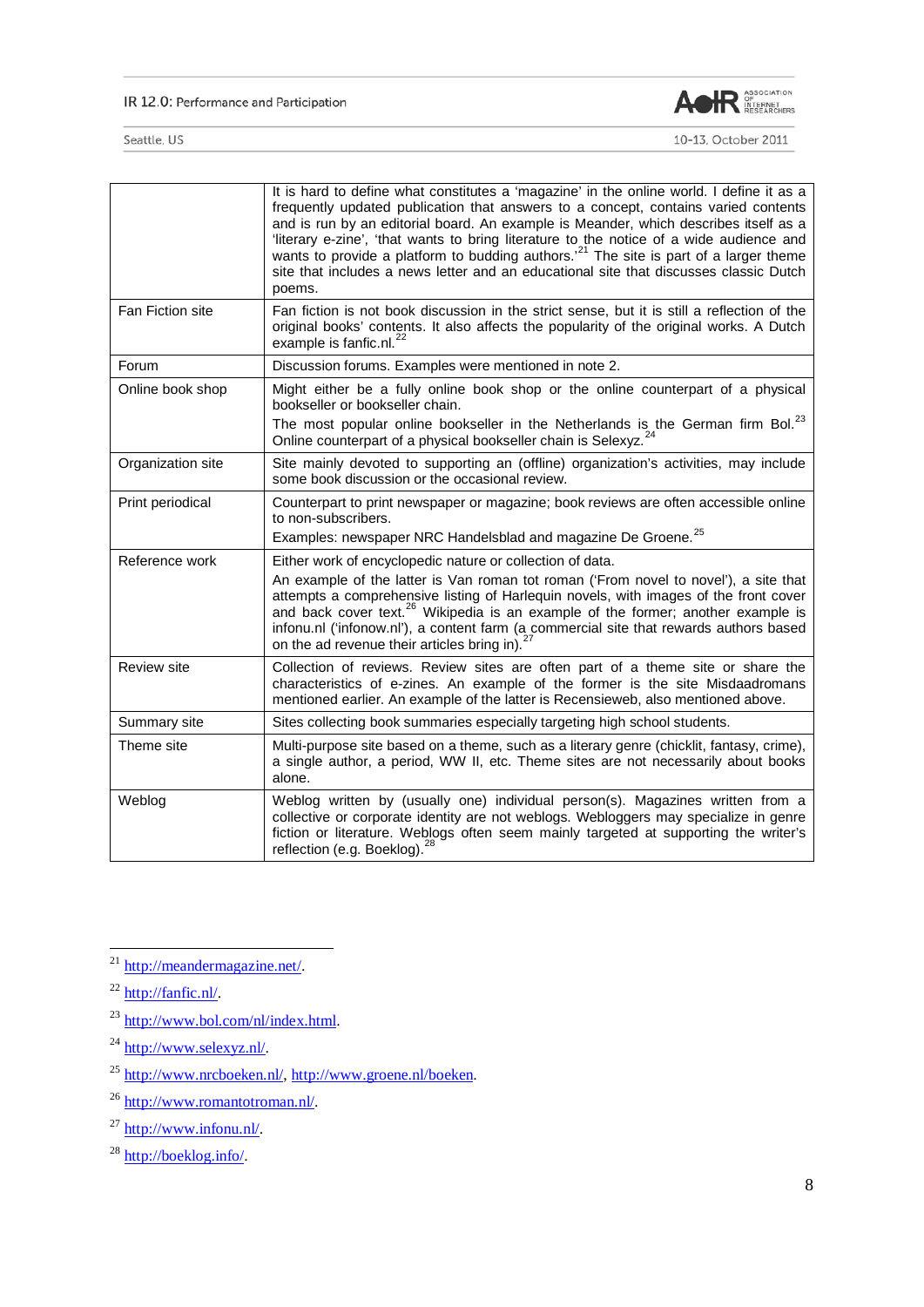#### IR 12.0: Performance and Participation



|                    | It is hard to define what constitutes a 'magazine' in the online world. I define it as a<br>frequently updated publication that answers to a concept, contains varied contents<br>and is run by an editorial board. An example is Meander, which describes itself as a<br>'literary e-zine', 'that wants to bring literature to the notice of a wide audience and<br>wants to provide a platform to budding authors. <sup>21</sup> The site is part of a larger theme<br>site that includes a news letter and an educational site that discusses classic Dutch<br>poems. |
|--------------------|--------------------------------------------------------------------------------------------------------------------------------------------------------------------------------------------------------------------------------------------------------------------------------------------------------------------------------------------------------------------------------------------------------------------------------------------------------------------------------------------------------------------------------------------------------------------------|
| Fan Fiction site   | Fan fiction is not book discussion in the strict sense, but it is still a reflection of the<br>original books' contents. It also affects the popularity of the original works. A Dutch<br>example is fanfic.nl. <sup>22</sup>                                                                                                                                                                                                                                                                                                                                            |
| Forum              | Discussion forums. Examples were mentioned in note 2.                                                                                                                                                                                                                                                                                                                                                                                                                                                                                                                    |
| Online book shop   | Might either be a fully online book shop or the online counterpart of a physical<br>bookseller or bookseller chain.<br>The most popular online bookseller in the Netherlands is the German firm Bol. <sup>23</sup><br>Online counterpart of a physical bookseller chain is Selexyz. <sup>24</sup>                                                                                                                                                                                                                                                                        |
| Organization site  | Site mainly devoted to supporting an (offline) organization's activities, may include<br>some book discussion or the occasional review.                                                                                                                                                                                                                                                                                                                                                                                                                                  |
| Print periodical   | Counterpart to print newspaper or magazine; book reviews are often accessible online<br>to non-subscribers.<br>Examples: newspaper NRC Handelsblad and magazine De Groene. <sup>25</sup>                                                                                                                                                                                                                                                                                                                                                                                 |
| Reference work     | Either work of encyclopedic nature or collection of data.<br>An example of the latter is Van roman tot roman ('From novel to novel'), a site that<br>attempts a comprehensive listing of Harlequin novels, with images of the front cover<br>and back cover text. <sup>26</sup> Wikipedia is an example of the former; another example is<br>infonu.nl ('infonow.nl'), a content farm (a commercial site that rewards authors based<br>on the ad revenue their articles bring in). <sup>27</sup>                                                                         |
| <b>Review site</b> | Collection of reviews. Review sites are often part of a theme site or share the<br>characteristics of e-zines. An example of the former is the site Misdaadromans<br>mentioned earlier. An example of the latter is Recensieweb, also mentioned above.                                                                                                                                                                                                                                                                                                                   |
| Summary site       | Sites collecting book summaries especially targeting high school students.                                                                                                                                                                                                                                                                                                                                                                                                                                                                                               |
| Theme site         | Multi-purpose site based on a theme, such as a literary genre (chicklit, fantasy, crime),<br>a single author, a period, WW II, etc. Theme sites are not necessarily about books<br>alone.                                                                                                                                                                                                                                                                                                                                                                                |
| Weblog             | Weblog written by (usually one) individual person(s). Magazines written from a<br>collective or corporate identity are not weblogs. Webloggers may specialize in genre<br>fiction or literature. Weblogs often seem mainly targeted at supporting the writer's<br>reflection (e.g. Boeklog). <sup>28</sup>                                                                                                                                                                                                                                                               |

<span id="page-7-0"></span><sup>&</sup>lt;sup>21</sup> [http://meandermagazine.net/.](http://meandermagazine.net/)

<span id="page-7-1"></span> $^{22}$  [http://fanfic.nl/.](http://fanfic.nl/)

<span id="page-7-2"></span><sup>&</sup>lt;sup>23</sup> [http://www.bol.com/nl/index.html.](http://www.bol.com/nl/index.html)

<span id="page-7-3"></span><sup>&</sup>lt;sup>24</sup> [http://www.selexyz.nl/.](http://www.selexyz.nl/)

<span id="page-7-4"></span><sup>25</sup> [http://www.nrcboeken.nl/,](http://www.nrcboeken.nl/) [http://www.groene.nl/boeken.](http://www.groene.nl/boeken)

<span id="page-7-5"></span><sup>26</sup> [http://www.romantotroman.nl/.](http://www.romantotroman.nl/)

<span id="page-7-6"></span> $^{27}$  [http://www.infonu.nl/.](http://www.infonu.nl/)

<span id="page-7-7"></span><sup>&</sup>lt;sup>28</sup> [http://boeklog.info/.](http://boeklog.info/)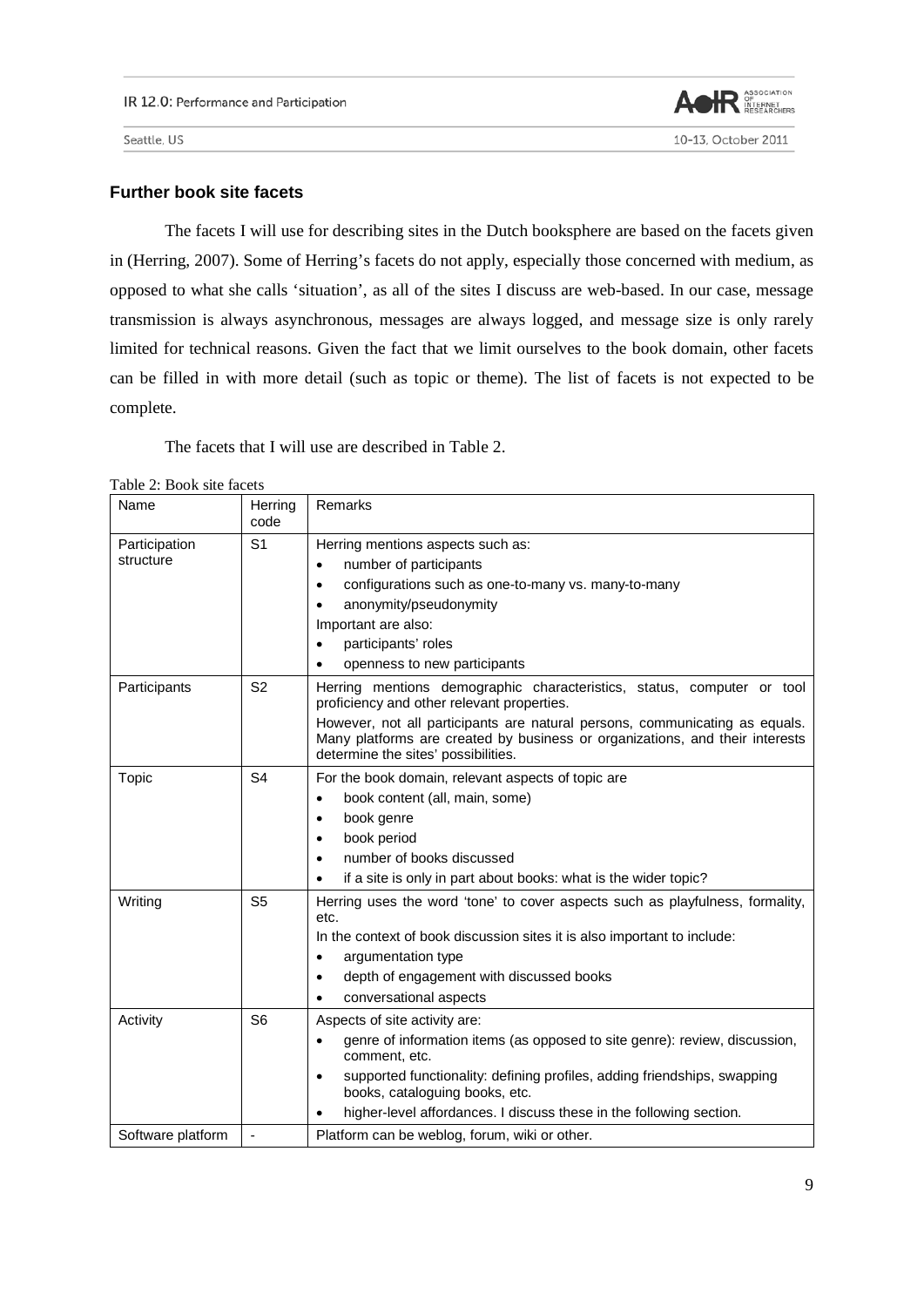

10-13, October 2011

Seattle, US

## **Further book site facets**

The facets I will use for describing sites in the Dutch booksphere are based on the facets given in (Herring, 2007). Some of Herring's facets do not apply, especially those concerned with medium, as opposed to what she calls 'situation', as all of the sites I discuss are web-based. In our case, message transmission is always asynchronous, messages are always logged, and message size is only rarely limited for technical reasons. Given the fact that we limit ourselves to the book domain, other facets can be filled in with more detail (such as topic or theme). The list of facets is not expected to be complete.

The facets that I will use are described in Table 2.

|  |  |  |  |  | Table 2: Book site facets |
|--|--|--|--|--|---------------------------|
|--|--|--|--|--|---------------------------|

| Name                       | Herring<br>code | Remarks                                                                                                                                                                                                                                                                                                                             |
|----------------------------|-----------------|-------------------------------------------------------------------------------------------------------------------------------------------------------------------------------------------------------------------------------------------------------------------------------------------------------------------------------------|
| Participation<br>structure | S <sub>1</sub>  | Herring mentions aspects such as:<br>number of participants<br>$\bullet$<br>configurations such as one-to-many vs. many-to-many<br>$\bullet$<br>anonymity/pseudonymity<br>Important are also:<br>participants' roles<br>$\bullet$<br>openness to new participants<br>$\bullet$                                                      |
| Participants               | S <sub>2</sub>  | Herring mentions demographic characteristics, status, computer or tool<br>proficiency and other relevant properties.<br>However, not all participants are natural persons, communicating as equals.<br>Many platforms are created by business or organizations, and their interests<br>determine the sites' possibilities.          |
| Topic                      | S <sub>4</sub>  | For the book domain, relevant aspects of topic are<br>book content (all, main, some)<br>book genre<br>$\bullet$<br>book period<br>$\bullet$<br>number of books discussed<br>if a site is only in part about books: what is the wider topic?<br>٠                                                                                    |
| Writing                    | S <sub>5</sub>  | Herring uses the word 'tone' to cover aspects such as playfulness, formality,<br>etc.<br>In the context of book discussion sites it is also important to include:<br>argumentation type<br>٠<br>depth of engagement with discussed books<br>$\bullet$<br>conversational aspects<br>$\bullet$                                        |
| Activity                   | S <sub>6</sub>  | Aspects of site activity are:<br>genre of information items (as opposed to site genre): review, discussion,<br>$\bullet$<br>comment, etc.<br>supported functionality: defining profiles, adding friendships, swapping<br>٠<br>books, cataloguing books, etc.<br>higher-level affordances. I discuss these in the following section. |
| Software platform          |                 | Platform can be weblog, forum, wiki or other.                                                                                                                                                                                                                                                                                       |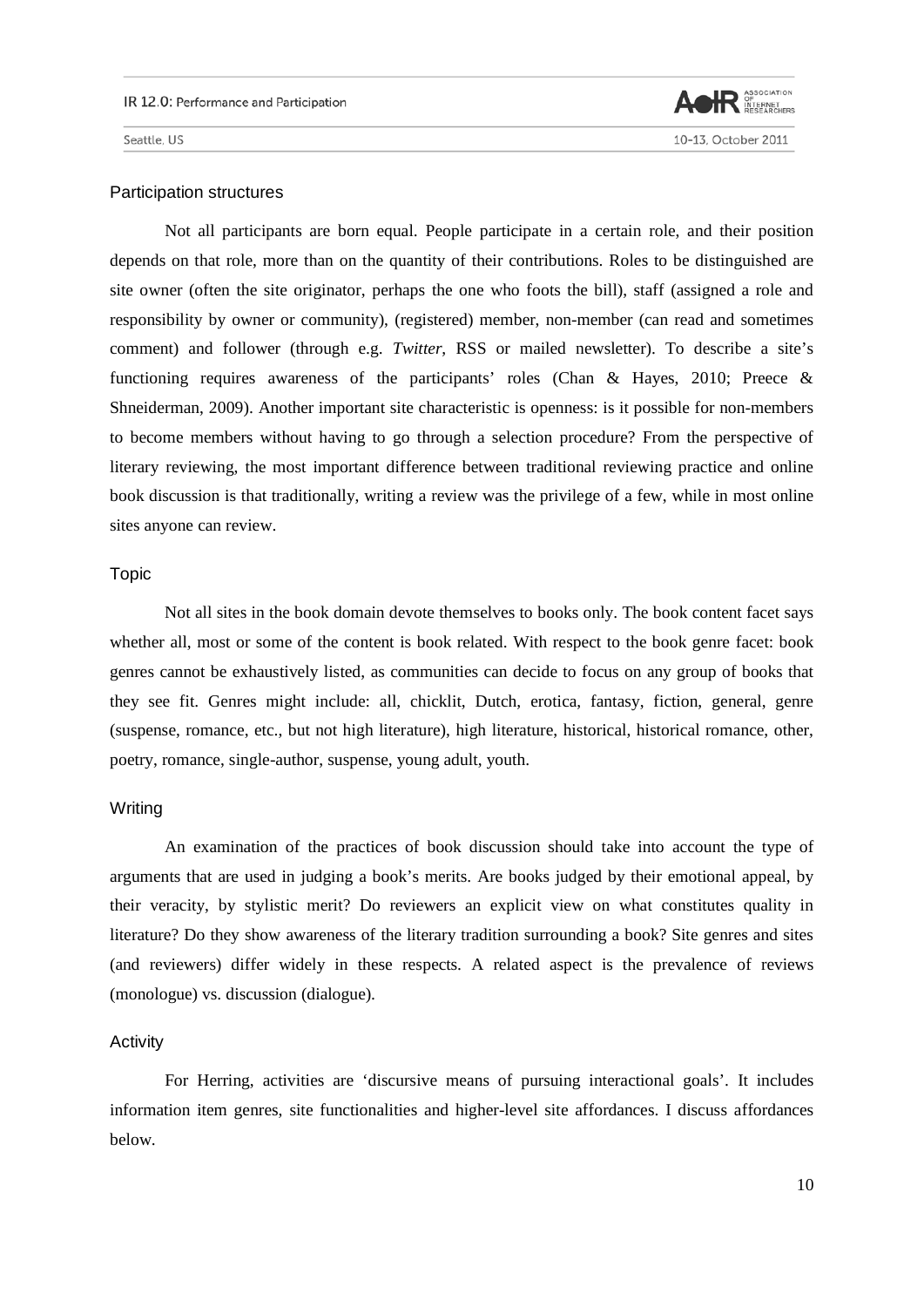

#### Participation structures

Not all participants are born equal. People participate in a certain role, and their position depends on that role, more than on the quantity of their contributions. Roles to be distinguished are site owner (often the site originator, perhaps the one who foots the bill), staff (assigned a role and responsibility by owner or community), (registered) member, non-member (can read and sometimes comment) and follower (through e.g. *Twitter*, RSS or mailed newsletter). To describe a site's functioning requires awareness of the participants' roles (Chan & Hayes, 2010; Preece  $\&$ Shneiderman, 2009). Another important site characteristic is openness: is it possible for non-members to become members without having to go through a selection procedure? From the perspective of literary reviewing, the most important difference between traditional reviewing practice and online book discussion is that traditionally, writing a review was the privilege of a few, while in most online sites anyone can review.

# Topic

Not all sites in the book domain devote themselves to books only. The book content facet says whether all, most or some of the content is book related. With respect to the book genre facet: book genres cannot be exhaustively listed, as communities can decide to focus on any group of books that they see fit. Genres might include: all, chicklit, Dutch, erotica, fantasy, fiction, general, genre (suspense, romance, etc., but not high literature), high literature, historical, historical romance, other, poetry, romance, single-author, suspense, young adult, youth.

## **Writing**

An examination of the practices of book discussion should take into account the type of arguments that are used in judging a book's merits. Are books judged by their emotional appeal, by their veracity, by stylistic merit? Do reviewers an explicit view on what constitutes quality in literature? Do they show awareness of the literary tradition surrounding a book? Site genres and sites (and reviewers) differ widely in these respects. A related aspect is the prevalence of reviews (monologue) vs. discussion (dialogue).

#### Activity

For Herring, activities are 'discursive means of pursuing interactional goals'. It includes information item genres, site functionalities and higher-level site affordances. I discuss affordances below.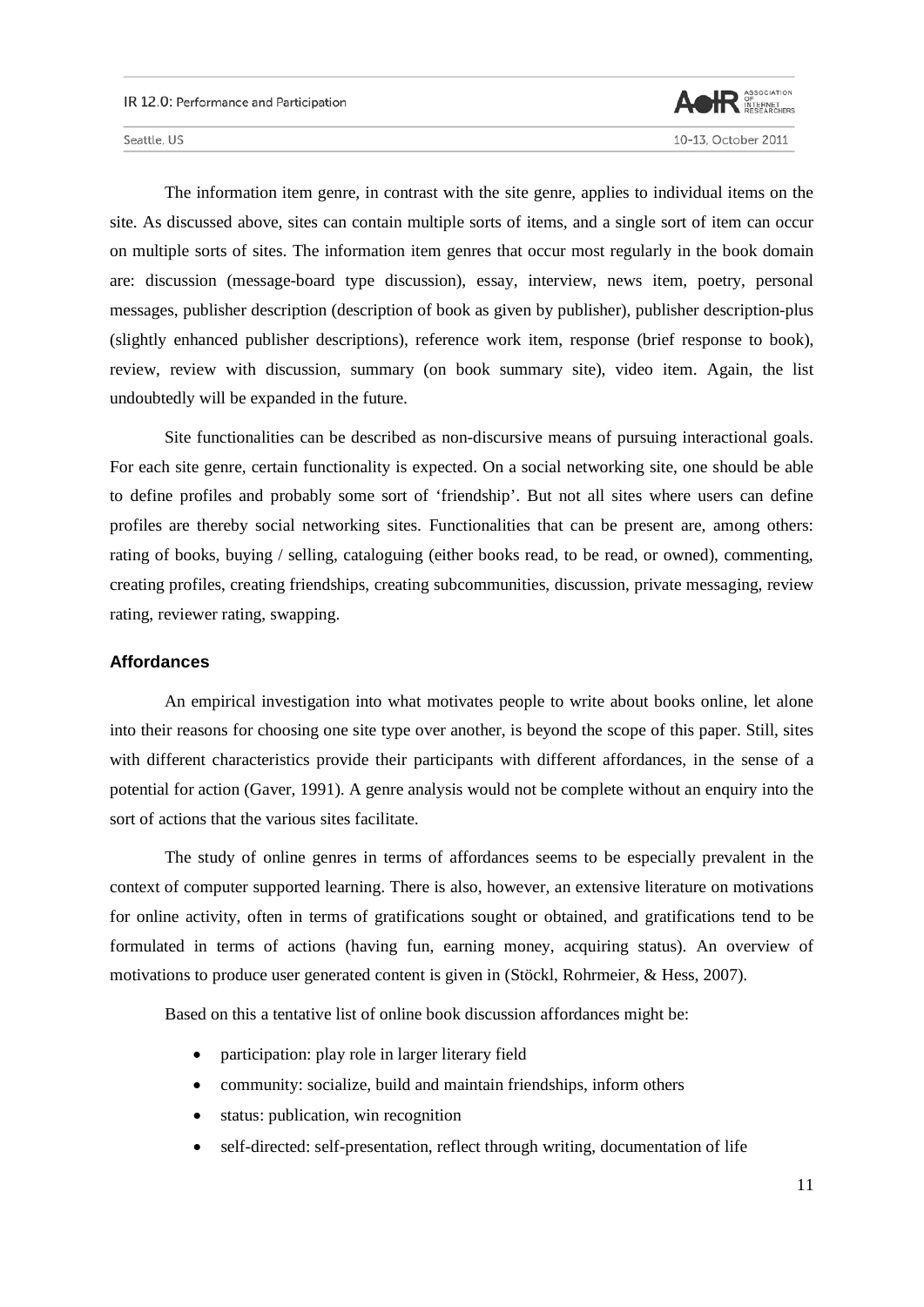

The information item genre, in contrast with the site genre, applies to individual items on the site. As discussed above, sites can contain multiple sorts of items, and a single sort of item can occur on multiple sorts of sites. The information item genres that occur most regularly in the book domain are: discussion (message-board type discussion), essay, interview, news item, poetry, personal messages, publisher description (description of book as given by publisher), publisher description-plus (slightly enhanced publisher descriptions), reference work item, response (brief response to book), review, review with discussion, summary (on book summary site), video item. Again, the list undoubtedly will be expanded in the future.

Site functionalities can be described as non-discursive means of pursuing interactional goals. For each site genre, certain functionality is expected. On a social networking site, one should be able to define profiles and probably some sort of 'friendship'. But not all sites where users can define profiles are thereby social networking sites. Functionalities that can be present are, among others: rating of books, buying / selling, cataloguing (either books read, to be read, or owned), commenting, creating profiles, creating friendships, creating subcommunities, discussion, private messaging, review rating, reviewer rating, swapping.

#### **Affordances**

An empirical investigation into what motivates people to write about books online, let alone into their reasons for choosing one site type over another, is beyond the scope of this paper. Still, sites with different characteristics provide their participants with different affordances, in the sense of a potential for action (Gaver, 1991). A genre analysis would not be complete without an enquiry into the sort of actions that the various sites facilitate.

The study of online genres in terms of affordances seems to be especially prevalent in the context of computer supported learning. There is also, however, an extensive literature on motivations for online activity, often in terms of gratifications sought or obtained, and gratifications tend to be formulated in terms of actions (having fun, earning money, acquiring status). An overview of motivations to produce user generated content is given in (Stöckl, Rohrmeier, & Hess, 2007).

Based on this a tentative list of online book discussion affordances might be:

- participation: play role in larger literary field
- community: socialize, build and maintain friendships, inform others
- status: publication, win recognition
- self-directed: self-presentation, reflect through writing, documentation of life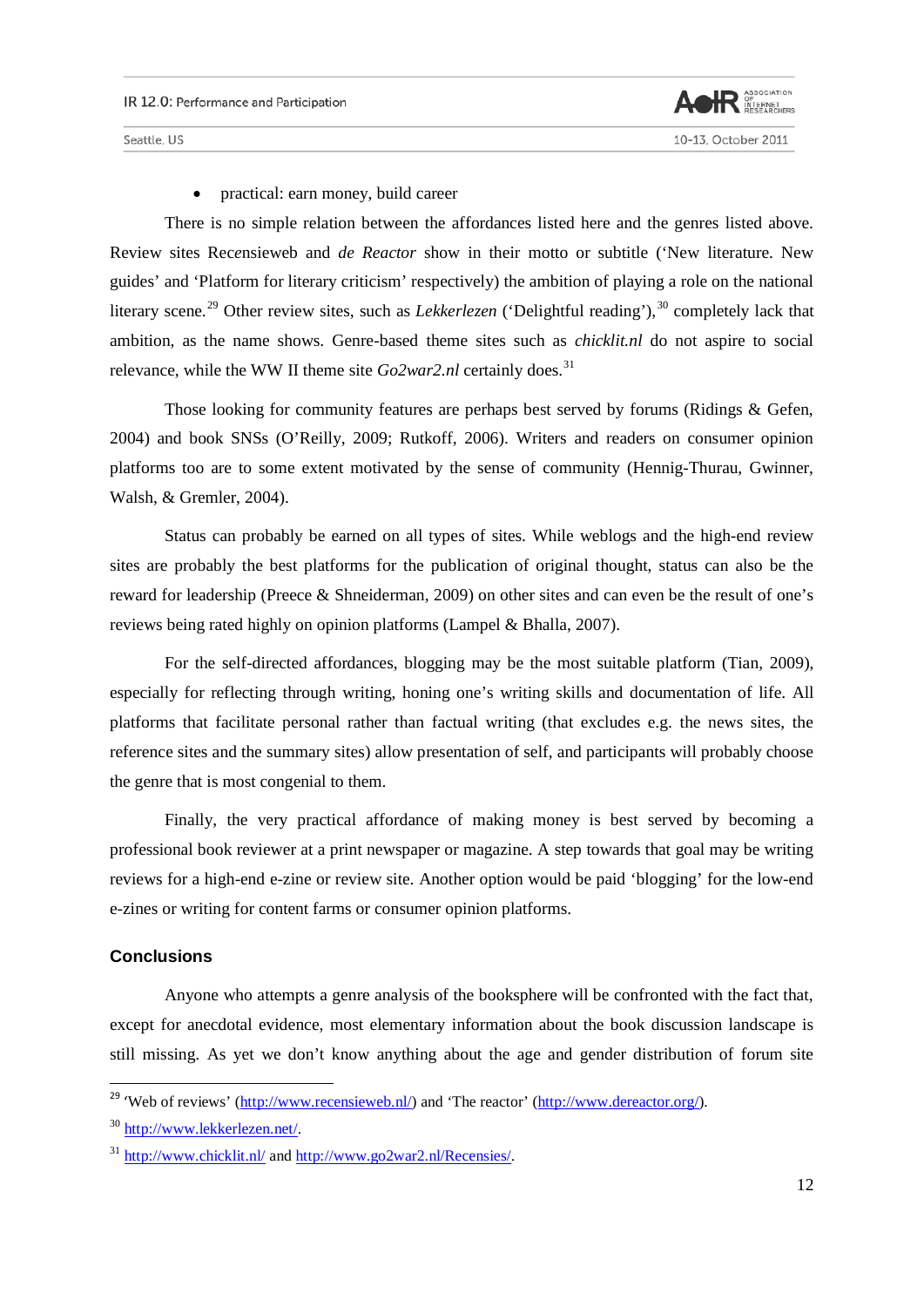

• practical: earn money, build career

There is no simple relation between the affordances listed here and the genres listed above. Review sites Rec*e*nsieweb and *de Reactor* show in their motto or subtitle ('New literature. New guides' and 'Platform for literary criticism' respectively) the ambition of playing a role on the national literary scene.<sup>[29](#page-11-0)</sup> Other review sites, such as *Lekkerlezen* ('Delightful reading'),<sup>[30](#page-11-1)</sup> completely lack that ambition, as the name shows. Genre-based theme sites such as *chicklit.nl* do not aspire to social relevance, while the WW II theme site  $Go2war2.nl$  certainly does.<sup>[31](#page-11-2)</sup>

Those looking for community features are perhaps best served by forums (Ridings & Gefen, 2004) and book SNSs (O'Reilly, 2009; Rutkoff, 2006). Writers and readers on consumer opinion platforms too are to some extent motivated by the sense of community (Hennig-Thurau, Gwinner, Walsh, & Gremler, 2004).

Status can probably be earned on all types of sites. While weblogs and the high-end review sites are probably the best platforms for the publication of original thought, status can also be the reward for leadership (Preece & Shneiderman, 2009) on other sites and can even be the result of one's reviews being rated highly on opinion platforms (Lampel & Bhalla, 2007).

For the self-directed affordances, blogging may be the most suitable platform (Tian, 2009), especially for reflecting through writing, honing one's writing skills and documentation of life. All platforms that facilitate personal rather than factual writing (that excludes e.g. the news sites, the reference sites and the summary sites) allow presentation of self, and participants will probably choose the genre that is most congenial to them.

Finally, the very practical affordance of making money is best served by becoming a professional book reviewer at a print newspaper or magazine. A step towards that goal may be writing reviews for a high-end e-zine or review site. Another option would be paid 'blogging' for the low-end e-zines or writing for content farms or consumer opinion platforms.

# **Conclusions**

Anyone who attempts a genre analysis of the booksphere will be confronted with the fact that, except for anecdotal evidence, most elementary information about the book discussion landscape is still missing. As yet we don't know anything about the age and gender distribution of forum site

<span id="page-11-0"></span><sup>&</sup>lt;sup>29</sup> 'Web of reviews' [\(http://www.recensieweb.nl/\)](http://www.recensieweb.nl/) and 'The reactor' [\(http://www.dereactor.org/\)](http://www.dereactor.org/).

<span id="page-11-1"></span><sup>30</sup> [http://www.lekkerlezen.net/.](http://www.lekkerlezen.net/)

<span id="page-11-2"></span><sup>31</sup> <http://www.chicklit.nl/> and [http://www.go2war2.nl/Recensies/.](http://www.go2war2.nl/Recensies/)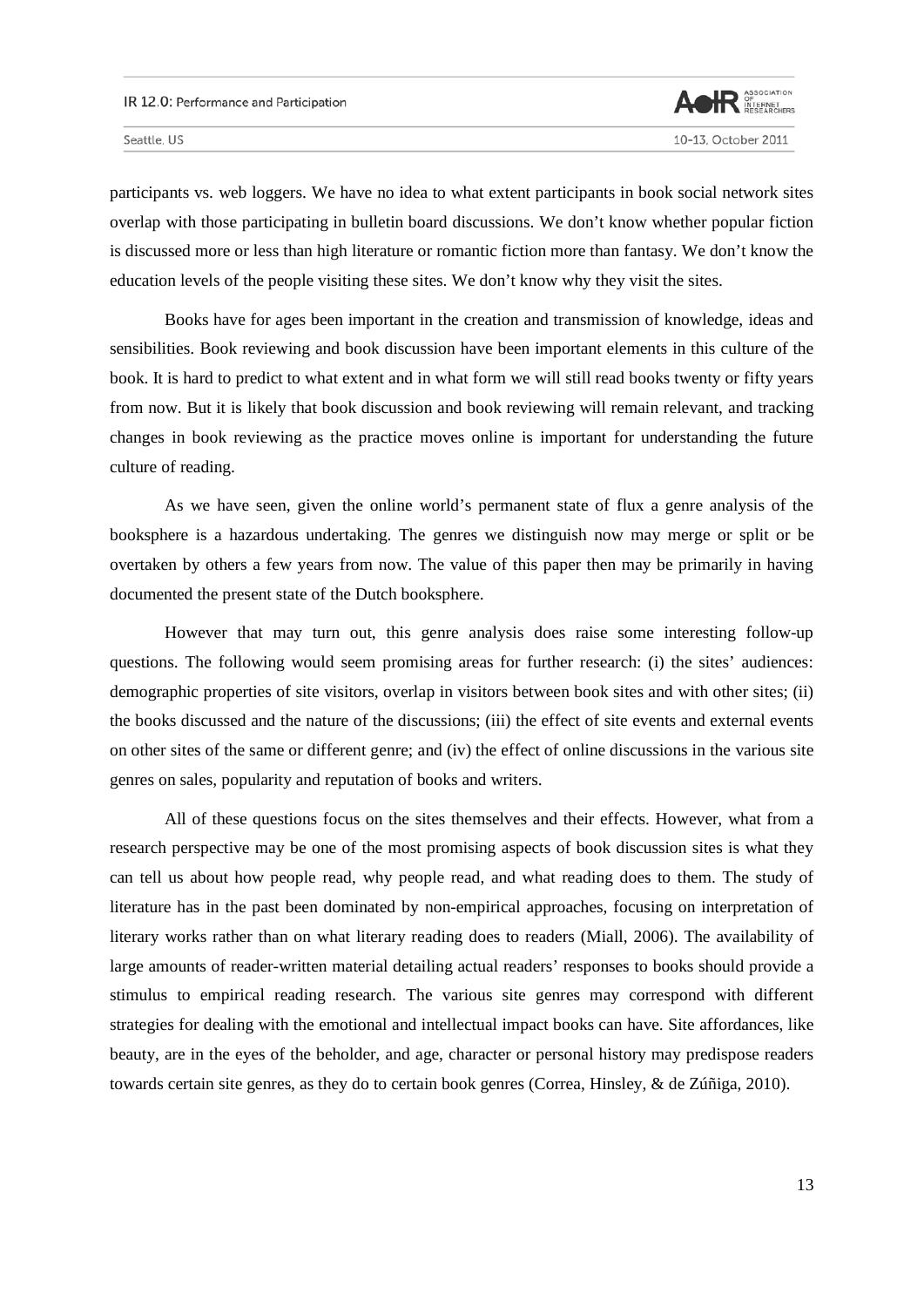

participants vs. web loggers. We have no idea to what extent participants in book social network sites overlap with those participating in bulletin board discussions. We don't know whether popular fiction is discussed more or less than high literature or romantic fiction more than fantasy. We don't know the education levels of the people visiting these sites. We don't know why they visit the sites.

Books have for ages been important in the creation and transmission of knowledge, ideas and sensibilities. Book reviewing and book discussion have been important elements in this culture of the book. It is hard to predict to what extent and in what form we will still read books twenty or fifty years from now. But it is likely that book discussion and book reviewing will remain relevant, and tracking changes in book reviewing as the practice moves online is important for understanding the future culture of reading.

As we have seen, given the online world's permanent state of flux a genre analysis of the booksphere is a hazardous undertaking. The genres we distinguish now may merge or split or be overtaken by others a few years from now. The value of this paper then may be primarily in having documented the present state of the Dutch booksphere.

However that may turn out, this genre analysis does raise some interesting follow-up questions. The following would seem promising areas for further research: (i) the sites' audiences: demographic properties of site visitors, overlap in visitors between book sites and with other sites; (ii) the books discussed and the nature of the discussions; (iii) the effect of site events and external events on other sites of the same or different genre; and (iv) the effect of online discussions in the various site genres on sales, popularity and reputation of books and writers.

All of these questions focus on the sites themselves and their effects. However, what from a research perspective may be one of the most promising aspects of book discussion sites is what they can tell us about how people read, why people read, and what reading does to them. The study of literature has in the past been dominated by non-empirical approaches, focusing on interpretation of literary works rather than on what literary reading does to readers (Miall, 2006). The availability of large amounts of reader-written material detailing actual readers' responses to books should provide a stimulus to empirical reading research. The various site genres may correspond with different strategies for dealing with the emotional and intellectual impact books can have. Site affordances, like beauty, are in the eyes of the beholder, and age, character or personal history may predispose readers towards certain site genres, as they do to certain book genres (Correa, Hinsley, & de Zúñiga, 2010).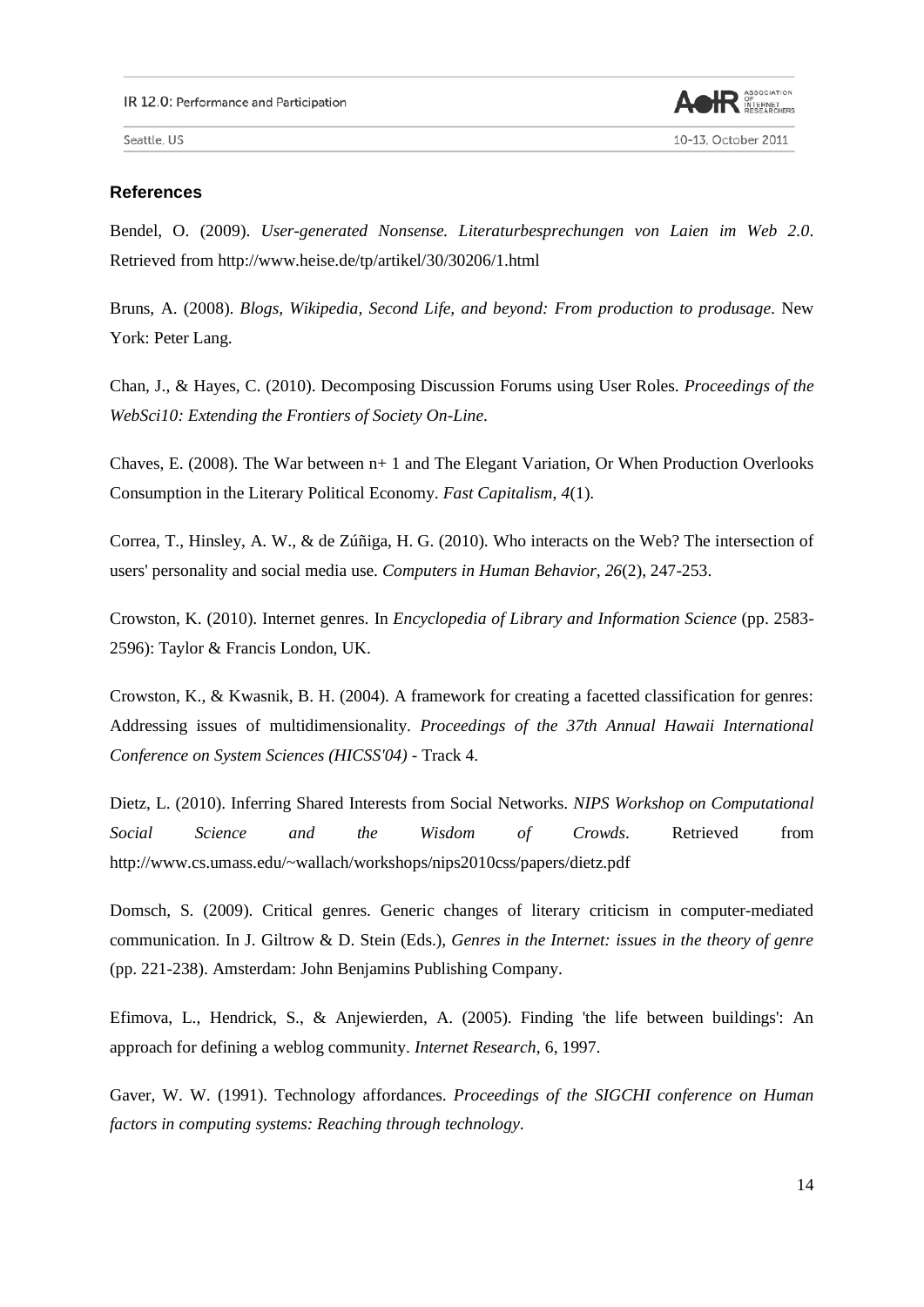

10-13, October 2011

Seattle, US

## **References**

Bendel, O. (2009). *User-generated Nonsense. Literaturbesprechungen von Laien im Web 2.0*. Retrieved from http://www.heise.de/tp/artikel/30/30206/1.html

Bruns, A. (2008). *Blogs, Wikipedia, Second Life, and beyond: From production to produsage*. New York: Peter Lang.

Chan, J., & Hayes, C. (2010). Decomposing Discussion Forums using User Roles. *Proceedings of the WebSci10: Extending the Frontiers of Society On-Line*.

Chaves, E. (2008). The War between n+ 1 and The Elegant Variation, Or When Production Overlooks Consumption in the Literary Political Economy. *Fast Capitalism*, *4*(1).

Correa, T., Hinsley, A. W., & de Zúñiga, H. G. (2010). Who interacts on the Web? The intersection of users' personality and social media use. *Computers in Human Behavior, 26*(2), 247-253.

Crowston, K. (2010). Internet genres. In *Encyclopedia of Library and Information Science* (pp. 2583- 2596): Taylor & Francis London, UK.

Crowston, K., & Kwasnik, B. H. (2004). A framework for creating a facetted classification for genres: Addressing issues of multidimensionality. *Proceedings of the 37th Annual Hawaii International Conference on System Sciences (HICSS'04)* - Track 4.

Dietz, L. (2010). Inferring Shared Interests from Social Networks. *NIPS Workshop on Computational Social Science and the Wisdom of Crowds*. Retrieved from http://www.cs.umass.edu/~wallach/workshops/nips2010css/papers/dietz.pdf

Domsch, S. (2009). Critical genres. Generic changes of literary criticism in computer-mediated communication. In J. Giltrow & D. Stein (Eds.), *Genres in the Internet: issues in the theory of genre* (pp. 221-238). Amsterdam: John Benjamins Publishing Company.

Efimova, L., Hendrick, S., & Anjewierden, A. (2005). Finding 'the life between buildings': An approach for defining a weblog community. *Internet Research*, 6, 1997.

Gaver, W. W. (1991). Technology affordances. *Proceedings of the SIGCHI conference on Human factors in computing systems: Reaching through technology*.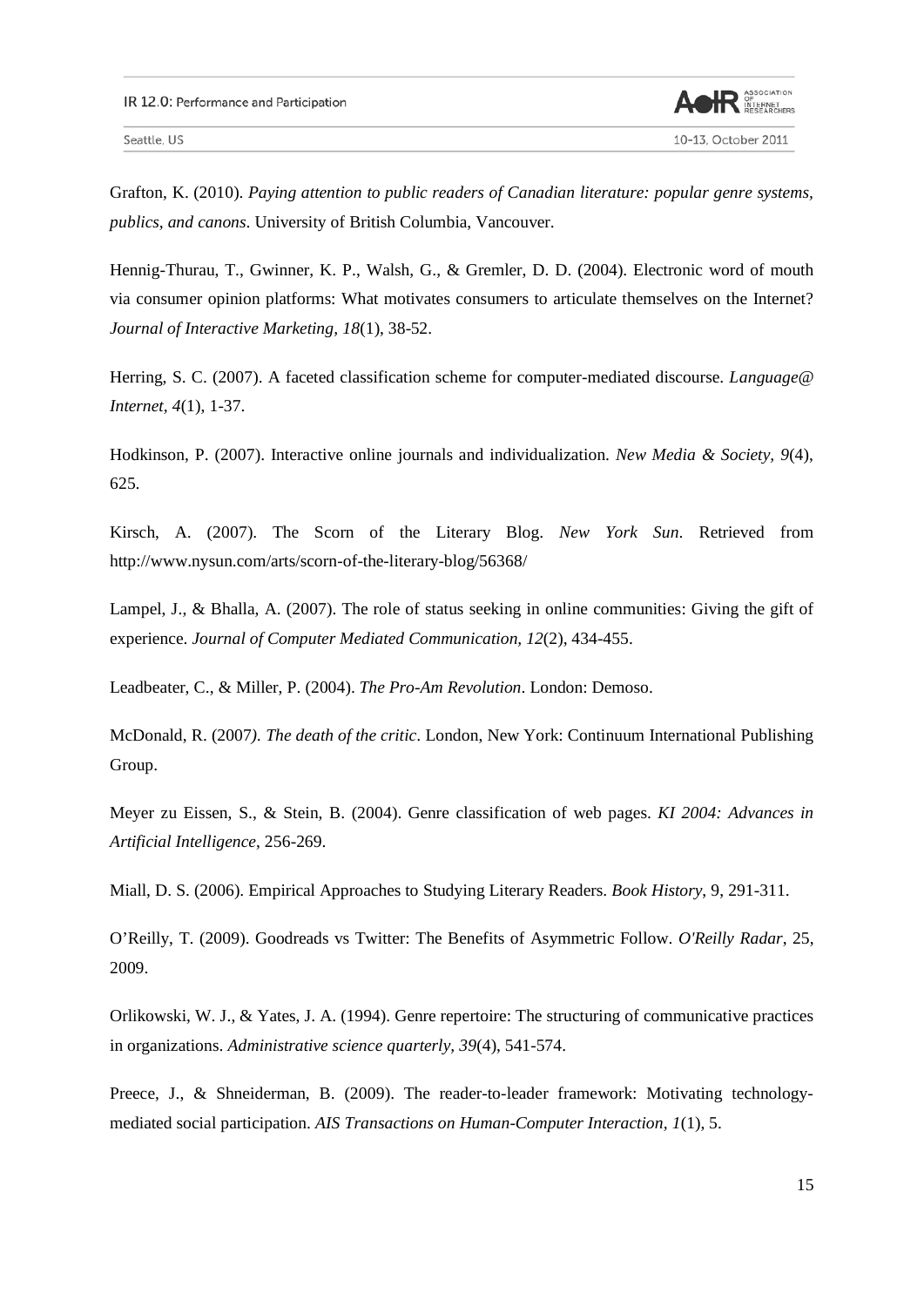

10-13, October 2011

Seattle, US

Grafton, K. (2010). *Paying attention to public readers of Canadian literature: popular genre systems, publics, and canons*. University of British Columbia, Vancouver.

Hennig-Thurau, T., Gwinner, K. P., Walsh, G., & Gremler, D. D. (2004). Electronic word of mouth via consumer opinion platforms: What motivates consumers to articulate themselves on the Internet? *Journal of Interactive Marketing, 18*(1), 38-52.

Herring, S. C. (2007). A faceted classification scheme for computer-mediated discourse. *Language@ Internet, 4*(1), 1-37.

Hodkinson, P. (2007). Interactive online journals and individualization. *New Media & Society, 9*(4), 625.

Kirsch, A. (2007). The Scorn of the Literary Blog. *New York Sun*. Retrieved from http://www.nysun.com/arts/scorn-of-the-literary-blog/56368/

Lampel, J., & Bhalla, A. (2007). The role of status seeking in online communities: Giving the gift of experience. *Journal of Computer Mediated Communication, 12*(2), 434-455.

Leadbeater, C., & Miller, P. (2004). *The Pro-Am Revolution*. London: Demoso.

McDonald, R. (2007*). The death of the critic*. London, New York: Continuum International Publishing Group.

Meyer zu Eissen, S., & Stein, B. (2004). Genre classification of web pages. *KI 2004: Advances in Artificial Intelligence*, 256-269.

Miall, D. S. (2006). Empirical Approaches to Studying Literary Readers. *Book History*, 9, 291-311.

O'Reilly, T. (2009). Goodreads vs Twitter: The Benefits of Asymmetric Follow. *O'Reilly Radar*, 25, 2009.

Orlikowski, W. J., & Yates, J. A. (1994). Genre repertoire: The structuring of communicative practices in organizations. *Administrative science quarterly, 39*(4), 541-574.

Preece, J., & Shneiderman, B. (2009). The reader-to-leader framework: Motivating technologymediated social participation. *AIS Transactions on Human-Computer Interaction, 1*(1), 5.